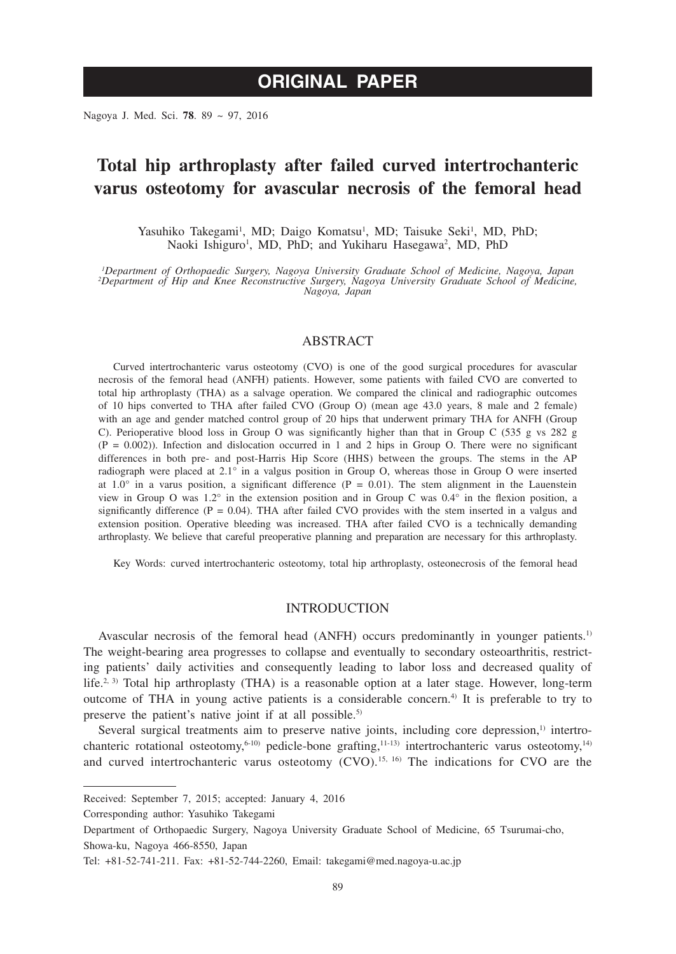# **ORIGINAL PAPER**

Nagoya J. Med. Sci. **78**. 89 ~ 97, 2016

# **Total hip arthroplasty after failed curved intertrochanteric varus osteotomy for avascular necrosis of the femoral head**

Yasuhiko Takegami<sup>1</sup>, MD; Daigo Komatsu<sup>1</sup>, MD; Taisuke Seki<sup>1</sup>, MD, PhD; Naoki Ishiguro<sup>1</sup>, MD, PhD; and Yukiharu Hasegawa<sup>2</sup>, MD, PhD

*1 Department of Orthopaedic Surgery, Nagoya University Graduate School of Medicine, Nagoya, Japan <sup>2</sup> Department of Hip and Knee Reconstructive Surgery, Nagoya University Graduate School of Medicine, Nagoya, Japan*

# ABSTRACT

Curved intertrochanteric varus osteotomy (CVO) is one of the good surgical procedures for avascular necrosis of the femoral head (ANFH) patients. However, some patients with failed CVO are converted to total hip arthroplasty (THA) as a salvage operation. We compared the clinical and radiographic outcomes of 10 hips converted to THA after failed CVO (Group O) (mean age 43.0 years, 8 male and 2 female) with an age and gender matched control group of 20 hips that underwent primary THA for ANFH (Group C). Perioperative blood loss in Group O was significantly higher than that in Group C (535 g vs 282 g  $(P = 0.002)$ ). Infection and dislocation occurred in 1 and 2 hips in Group O. There were no significant differences in both pre- and post-Harris Hip Score (HHS) between the groups. The stems in the AP radiograph were placed at 2.1° in a valgus position in Group O, whereas those in Group O were inserted at  $1.0^\circ$  in a varus position, a significant difference (P = 0.01). The stem alignment in the Lauenstein view in Group O was 1.2° in the extension position and in Group C was 0.4° in the flexion position, a significantly difference  $(P = 0.04)$ . THA after failed CVO provides with the stem inserted in a valgus and extension position. Operative bleeding was increased. THA after failed CVO is a technically demanding arthroplasty. We believe that careful preoperative planning and preparation are necessary for this arthroplasty.

Key Words: curved intertrochanteric osteotomy, total hip arthroplasty, osteonecrosis of the femoral head

# INTRODUCTION

Avascular necrosis of the femoral head (ANFH) occurs predominantly in younger patients.<sup>1)</sup> The weight-bearing area progresses to collapse and eventually to secondary osteoarthritis, restricting patients' daily activities and consequently leading to labor loss and decreased quality of life.<sup>2, 3)</sup> Total hip arthroplasty (THA) is a reasonable option at a later stage. However, long-term outcome of THA in young active patients is a considerable concern.<sup>4)</sup> It is preferable to try to preserve the patient's native joint if at all possible.<sup>5)</sup>

Several surgical treatments aim to preserve native joints, including core depression, $\frac{1}{1}$  intertrochanteric rotational osteotomy,<sup>6-10)</sup> pedicle-bone grafting,<sup>11-13)</sup> intertrochanteric varus osteotomy,<sup>14)</sup> and curved intertrochanteric varus osteotomy  $(CVO)$ .<sup>15, 16</sup>) The indications for CVO are the

Corresponding author: Yasuhiko Takegami

Received: September 7, 2015; accepted: January 4, 2016

Department of Orthopaedic Surgery, Nagoya University Graduate School of Medicine, 65 Tsurumai-cho, Showa-ku, Nagoya 466-8550, Japan

Tel: +81-52-741-211. Fax: +81-52-744-2260, Email: takegami@med.nagoya-u.ac.jp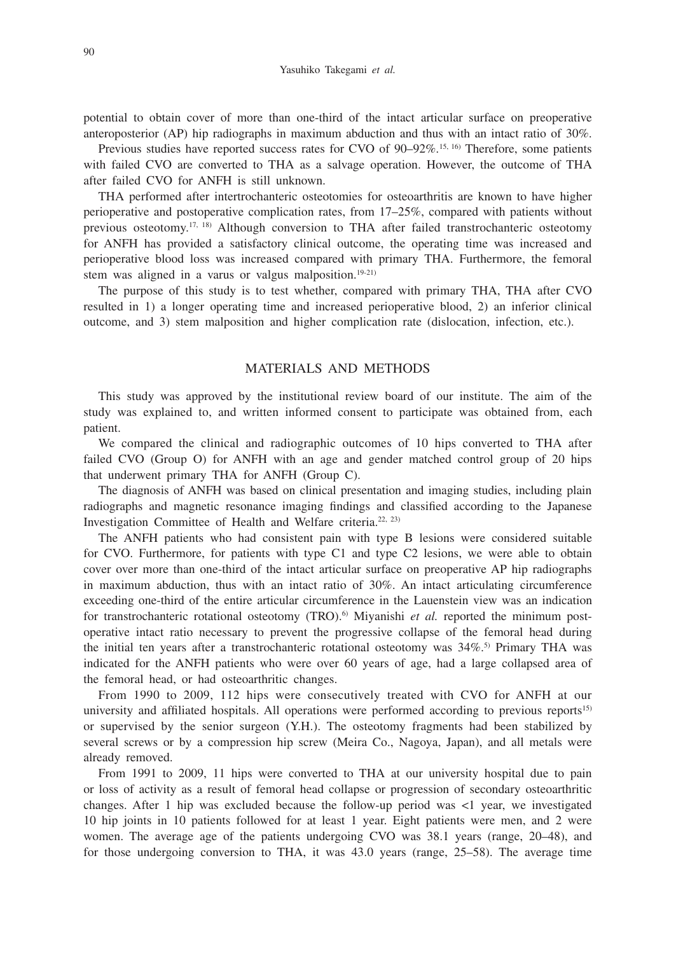potential to obtain cover of more than one-third of the intact articular surface on preoperative anteroposterior (AP) hip radiographs in maximum abduction and thus with an intact ratio of 30%.

Previous studies have reported success rates for CVO of 90–92%.<sup>15, 16)</sup> Therefore, some patients with failed CVO are converted to THA as a salvage operation. However, the outcome of THA after failed CVO for ANFH is still unknown.

THA performed after intertrochanteric osteotomies for osteoarthritis are known to have higher perioperative and postoperative complication rates, from 17–25%, compared with patients without previous osteotomy.17, 18) Although conversion to THA after failed transtrochanteric osteotomy for ANFH has provided a satisfactory clinical outcome, the operating time was increased and perioperative blood loss was increased compared with primary THA. Furthermore, the femoral stem was aligned in a varus or valgus malposition. $19-21$ )

The purpose of this study is to test whether, compared with primary THA, THA after CVO resulted in 1) a longer operating time and increased perioperative blood, 2) an inferior clinical outcome, and 3) stem malposition and higher complication rate (dislocation, infection, etc.).

# MATERIALS AND METHODS

This study was approved by the institutional review board of our institute. The aim of the study was explained to, and written informed consent to participate was obtained from, each patient.

We compared the clinical and radiographic outcomes of 10 hips converted to THA after failed CVO (Group O) for ANFH with an age and gender matched control group of 20 hips that underwent primary THA for ANFH (Group C).

The diagnosis of ANFH was based on clinical presentation and imaging studies, including plain radiographs and magnetic resonance imaging findings and classified according to the Japanese Investigation Committee of Health and Welfare criteria.<sup>22, 23)</sup>

The ANFH patients who had consistent pain with type B lesions were considered suitable for CVO. Furthermore, for patients with type C1 and type C2 lesions, we were able to obtain cover over more than one-third of the intact articular surface on preoperative AP hip radiographs in maximum abduction, thus with an intact ratio of 30%. An intact articulating circumference exceeding one-third of the entire articular circumference in the Lauenstein view was an indication for transtrochanteric rotational osteotomy (TRO).<sup>6)</sup> Miyanishi *et al.* reported the minimum postoperative intact ratio necessary to prevent the progressive collapse of the femoral head during the initial ten years after a transtrochanteric rotational osteotomy was  $34\%$ <sup>5</sup> Primary THA was indicated for the ANFH patients who were over 60 years of age, had a large collapsed area of the femoral head, or had osteoarthritic changes.

From 1990 to 2009, 112 hips were consecutively treated with CVO for ANFH at our university and affiliated hospitals. All operations were performed according to previous reports<sup>15)</sup> or supervised by the senior surgeon (Y.H.). The osteotomy fragments had been stabilized by several screws or by a compression hip screw (Meira Co., Nagoya, Japan), and all metals were already removed.

From 1991 to 2009, 11 hips were converted to THA at our university hospital due to pain or loss of activity as a result of femoral head collapse or progression of secondary osteoarthritic changes. After 1 hip was excluded because the follow-up period was <1 year, we investigated 10 hip joints in 10 patients followed for at least 1 year. Eight patients were men, and 2 were women. The average age of the patients undergoing CVO was 38.1 years (range, 20–48), and for those undergoing conversion to THA, it was 43.0 years (range, 25–58). The average time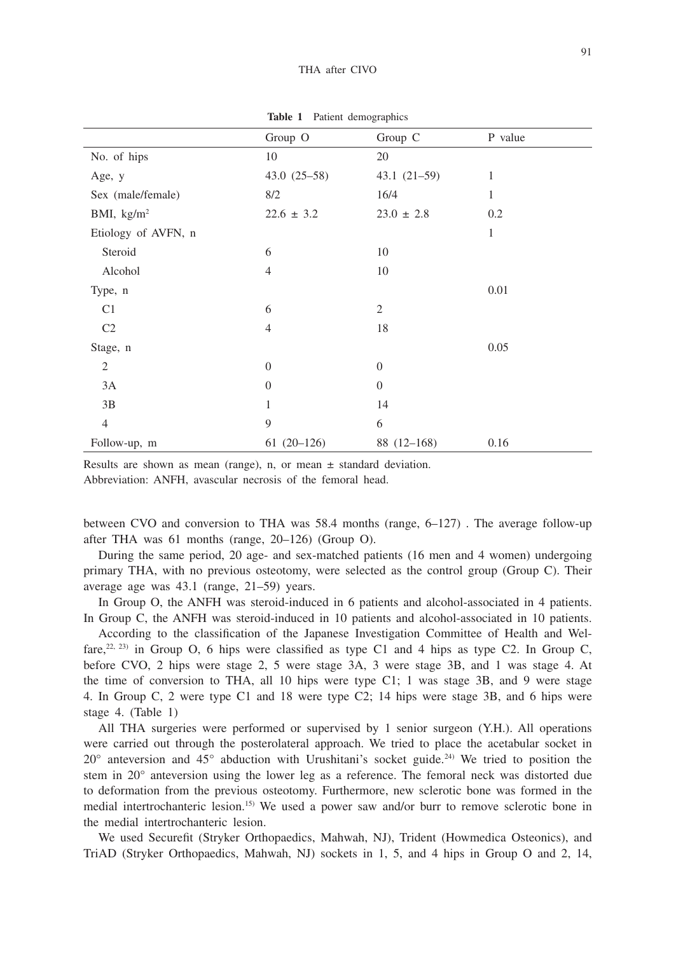|                      | <b>Table 1</b> Fation demographies |                |              |
|----------------------|------------------------------------|----------------|--------------|
|                      | Group O                            | Group C        | P value      |
| No. of hips          | 10                                 | 20             |              |
| Age, y               | $43.0(25-58)$                      | $43.1(21-59)$  | 1            |
| Sex (male/female)    | 8/2                                | 16/4           | $\mathbf{1}$ |
| BMI, $\text{kg/m}^2$ | $22.6 \pm 3.2$                     | $23.0 \pm 2.8$ | 0.2          |
| Etiology of AVFN, n  |                                    |                | $\mathbf{1}$ |
| Steroid              | 6                                  | 10             |              |
| Alcohol              | $\overline{4}$                     | 10             |              |
| Type, n              |                                    |                | 0.01         |
| C1                   | 6                                  | $\mathfrak{2}$ |              |
| C <sub>2</sub>       | $\overline{4}$                     | 18             |              |
| Stage, n             |                                    |                | 0.05         |
| $\mathfrak{2}$       | $\boldsymbol{0}$                   | $\theta$       |              |
| 3A                   | $\overline{0}$                     | $\theta$       |              |
| 3B                   | 1                                  | 14             |              |
| $\overline{4}$       | 9                                  | 6              |              |
| Follow-up, m         | $61(20-126)$                       | $88(12-168)$   | 0.16         |

**Table 1** Patient demographics

Results are shown as mean (range), n, or mean  $\pm$  standard deviation.

Abbreviation: ANFH, avascular necrosis of the femoral head.

between CVO and conversion to THA was 58.4 months (range, 6–127) . The average follow-up after THA was 61 months (range, 20–126) (Group O).

During the same period, 20 age- and sex-matched patients (16 men and 4 women) undergoing primary THA, with no previous osteotomy, were selected as the control group (Group C). Their average age was 43.1 (range, 21–59) years.

In Group O, the ANFH was steroid-induced in 6 patients and alcohol-associated in 4 patients. In Group C, the ANFH was steroid-induced in 10 patients and alcohol-associated in 10 patients.

According to the classification of the Japanese Investigation Committee of Health and Welfare,<sup>22, 23</sup>) in Group O, 6 hips were classified as type C1 and 4 hips as type C2. In Group C, before CVO, 2 hips were stage 2, 5 were stage 3A, 3 were stage 3B, and 1 was stage 4. At the time of conversion to THA, all 10 hips were type C1; 1 was stage 3B, and 9 were stage 4. In Group C, 2 were type C1 and 18 were type C2; 14 hips were stage 3B, and 6 hips were stage 4. (Table 1)

All THA surgeries were performed or supervised by 1 senior surgeon (Y.H.). All operations were carried out through the posterolateral approach. We tried to place the acetabular socket in  $20^{\circ}$  anteversion and  $45^{\circ}$  abduction with Urushitani's socket guide.<sup>24)</sup> We tried to position the stem in 20° anteversion using the lower leg as a reference. The femoral neck was distorted due to deformation from the previous osteotomy. Furthermore, new sclerotic bone was formed in the medial intertrochanteric lesion.15) We used a power saw and/or burr to remove sclerotic bone in the medial intertrochanteric lesion.

We used Securefit (Stryker Orthopaedics, Mahwah, NJ), Trident (Howmedica Osteonics), and TriAD (Stryker Orthopaedics, Mahwah, NJ) sockets in 1, 5, and 4 hips in Group O and 2, 14,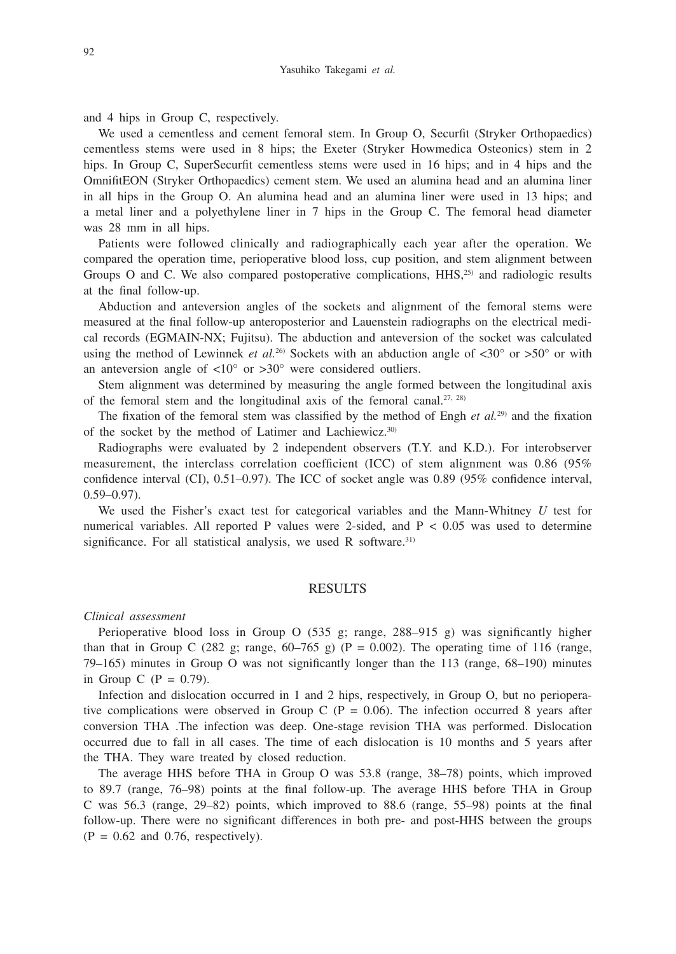and 4 hips in Group C, respectively.

We used a cementless and cement femoral stem. In Group O, Securfit (Stryker Orthopaedics) cementless stems were used in 8 hips; the Exeter (Stryker Howmedica Osteonics) stem in 2 hips. In Group C, SuperSecurfit cementless stems were used in 16 hips; and in 4 hips and the OmnifitEON (Stryker Orthopaedics) cement stem. We used an alumina head and an alumina liner in all hips in the Group O. An alumina head and an alumina liner were used in 13 hips; and a metal liner and a polyethylene liner in 7 hips in the Group C. The femoral head diameter was 28 mm in all hips.

Patients were followed clinically and radiographically each year after the operation. We compared the operation time, perioperative blood loss, cup position, and stem alignment between Groups O and C. We also compared postoperative complications, HHS,<sup>25)</sup> and radiologic results at the final follow-up.

Abduction and anteversion angles of the sockets and alignment of the femoral stems were measured at the final follow-up anteroposterior and Lauenstein radiographs on the electrical medical records (EGMAIN-NX; Fujitsu). The abduction and anteversion of the socket was calculated using the method of Lewinnek *et al.*<sup>26)</sup> Sockets with an abduction angle of  $\langle 30^\circ \text{ or } > 50^\circ \text{ or with} \rangle$ an anteversion angle of  $\langle 10^\circ \text{ or } \rangle 30^\circ$  were considered outliers.

Stem alignment was determined by measuring the angle formed between the longitudinal axis of the femoral stem and the longitudinal axis of the femoral canal.<sup>27, 28)</sup>

The fixation of the femoral stem was classified by the method of Engh *et al.*29) and the fixation of the socket by the method of Latimer and Lachiewicz.30)

Radiographs were evaluated by 2 independent observers (T.Y. and K.D.). For interobserver measurement, the interclass correlation coefficient (ICC) of stem alignment was 0.86 (95% confidence interval (CI), 0.51–0.97). The ICC of socket angle was 0.89 (95% confidence interval,  $0.59 - 0.97$ ).

We used the Fisher's exact test for categorical variables and the Mann-Whitney *U* test for numerical variables. All reported P values were 2-sided, and  $P < 0.05$  was used to determine significance. For all statistical analysis, we used R software.<sup>31)</sup>

### RESULTS

### *Clinical assessment*

Perioperative blood loss in Group O (535 g; range,  $288-915$  g) was significantly higher than that in Group C (282 g; range,  $60-765$  g) (P = 0.002). The operating time of 116 (range, 79–165) minutes in Group O was not significantly longer than the 113 (range, 68–190) minutes in Group C  $(P = 0.79)$ .

Infection and dislocation occurred in 1 and 2 hips, respectively, in Group O, but no perioperative complications were observed in Group C ( $P = 0.06$ ). The infection occurred 8 years after conversion THA .The infection was deep. One-stage revision THA was performed. Dislocation occurred due to fall in all cases. The time of each dislocation is 10 months and 5 years after the THA. They ware treated by closed reduction.

The average HHS before THA in Group O was 53.8 (range, 38–78) points, which improved to 89.7 (range, 76–98) points at the final follow-up. The average HHS before THA in Group C was 56.3 (range, 29–82) points, which improved to 88.6 (range, 55–98) points at the final follow-up. There were no significant differences in both pre- and post-HHS between the groups  $(P = 0.62$  and 0.76, respectively).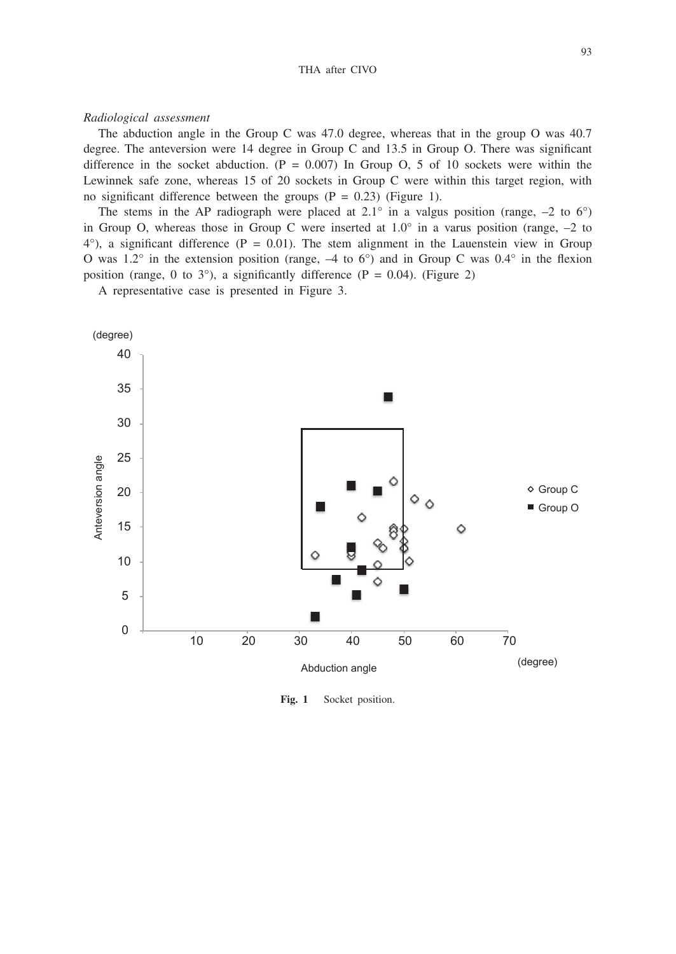#### *Radiological assessment*

The abduction angle in the Group C was 47.0 degree, whereas that in the group O was 40.7 degree. The anteversion were 14 degree in Group C and  $13.5$  in Group O. There was significant difference in the socket abduction.  $(P = 0.007)$  In Group O, 5 of 10 sockets were within the Lewinnek safe zone, whereas 15 of 20 sockets in Group C were within this target region, with no significant difference between the groups  $(P = 0.23)$  (Figure 1).

The stems in the AP radiograph were placed at  $2.1^\circ$  in a valgus position (range,  $-2$  to 6°) in Group O, whereas those in Group C were inserted at  $1.0^\circ$  in a varus position (range,  $-2$  to  $4^{\circ}$ ), a significant difference (P = 0.01). The stem alignment in the Lauenstein view in Group O was  $1.2^\circ$  in the extension position (range,  $-4$  to 6°) and in Group C was  $0.4^\circ$  in the flexion position (range, 0 to 3°), a significantly difference (P = 0.04). (Figure 2)

A representative case is presented in Figure 3.



**Fig. 1** Socket position.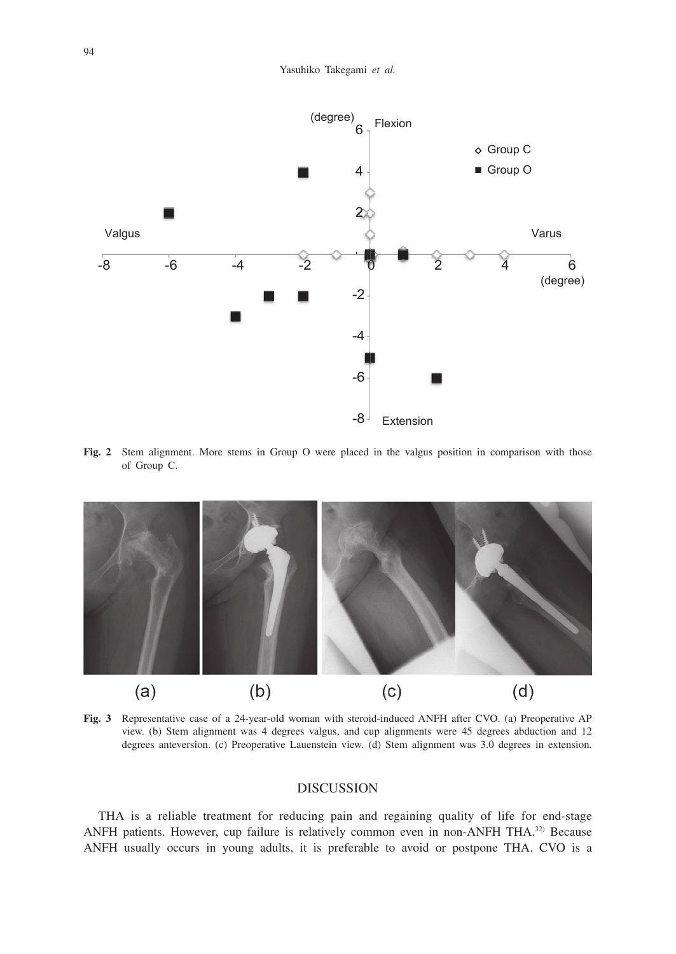

**Fig. 2** Stem alignment. More stems in Group O were placed in the valgus position in comparison with those of Group C.



**Fig. 3** Representative case of a 24-year-old woman with steroid-induced ANFH after CVO. (a) Preoperative AP view. (b) Stem alignment was 4 degrees valgus, and cup alignments were 45 degrees abduction and 12 degrees anteversion. (c) Preoperative Lauenstein view. (d) Stem alignment was 3.0 degrees in extension.

## DISCUSSION

THA is a reliable treatment for reducing pain and regaining quality of life for end-stage ANFH patients. However, cup failure is relatively common even in non-ANFH THA.<sup>32)</sup> Because ANFH usually occurs in young adults, it is preferable to avoid or postpone THA. CVO is a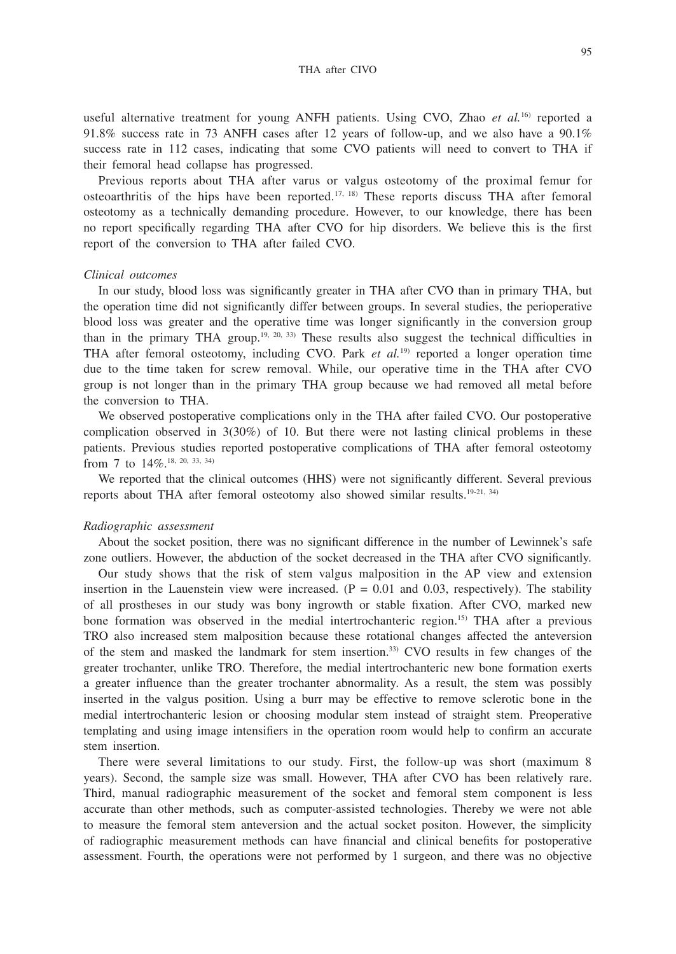useful alternative treatment for young ANFH patients. Using CVO, Zhao *et al.*16) reported a 91.8% success rate in 73 ANFH cases after 12 years of follow-up, and we also have a 90.1% success rate in 112 cases, indicating that some CVO patients will need to convert to THA if their femoral head collapse has progressed.

Previous reports about THA after varus or valgus osteotomy of the proximal femur for osteoarthritis of the hips have been reported.<sup>17, 18)</sup> These reports discuss THA after femoral osteotomy as a technically demanding procedure. However, to our knowledge, there has been no report specifically regarding THA after CVO for hip disorders. We believe this is the first report of the conversion to THA after failed CVO.

#### *Clinical outcomes*

In our study, blood loss was significantly greater in THA after CVO than in primary THA, but the operation time did not significantly differ between groups. In several studies, the perioperative blood loss was greater and the operative time was longer significantly in the conversion group than in the primary THA group.<sup>19, 20, 33)</sup> These results also suggest the technical difficulties in THA after femoral osteotomy, including CVO. Park  $et$   $al.^{19}$  reported a longer operation time due to the time taken for screw removal. While, our operative time in the THA after CVO group is not longer than in the primary THA group because we had removed all metal before the conversion to THA.

We observed postoperative complications only in the THA after failed CVO. Our postoperative complication observed in 3(30%) of 10. But there were not lasting clinical problems in these patients. Previous studies reported postoperative complications of THA after femoral osteotomy from 7 to 14%.<sup>18, 20, 33, 34)</sup>

We reported that the clinical outcomes (HHS) were not significantly different. Several previous reports about THA after femoral osteotomy also showed similar results.19-21, 34)

#### *Radiographic assessment*

About the socket position, there was no significant difference in the number of Lewinnek's safe zone outliers. However, the abduction of the socket decreased in the THA after CVO significantly.

Our study shows that the risk of stem valgus malposition in the AP view and extension insertion in the Lauenstein view were increased.  $(P = 0.01$  and 0.03, respectively). The stability of all prostheses in our study was bony ingrowth or stable fixation. After CVO, marked new bone formation was observed in the medial intertrochanteric region.15) THA after a previous TRO also increased stem malposition because these rotational changes affected the anteversion of the stem and masked the landmark for stem insertion.33) CVO results in few changes of the greater trochanter, unlike TRO. Therefore, the medial intertrochanteric new bone formation exerts a greater influence than the greater trochanter abnormality. As a result, the stem was possibly inserted in the valgus position. Using a burr may be effective to remove sclerotic bone in the medial intertrochanteric lesion or choosing modular stem instead of straight stem. Preoperative templating and using image intensifiers in the operation room would help to confirm an accurate stem insertion.

There were several limitations to our study. First, the follow-up was short (maximum 8 years). Second, the sample size was small. However, THA after CVO has been relatively rare. Third, manual radiographic measurement of the socket and femoral stem component is less accurate than other methods, such as computer-assisted technologies. Thereby we were not able to measure the femoral stem anteversion and the actual socket positon. However, the simplicity of radiographic measurement methods can have financial and clinical benefits for postoperative assessment. Fourth, the operations were not performed by 1 surgeon, and there was no objective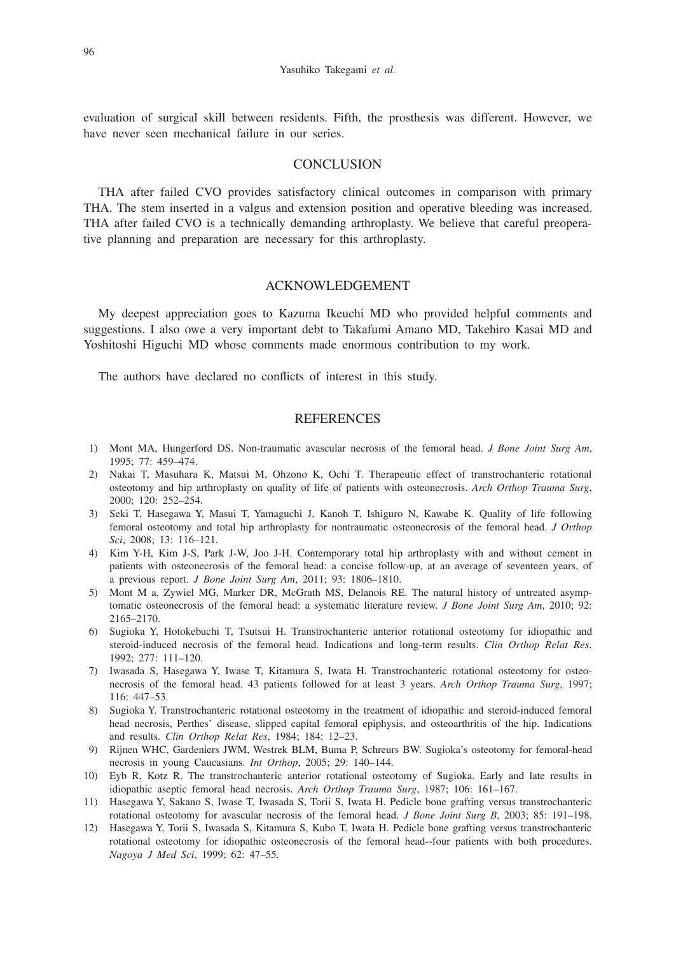evaluation of surgical skill between residents. Fifth, the prosthesis was different. However, we have never seen mechanical failure in our series.

## **CONCLUSION**

THA after failed CVO provides satisfactory clinical outcomes in comparison with primary THA. The stem inserted in a valgus and extension position and operative bleeding was increased. THA after failed CVO is a technically demanding arthroplasty. We believe that careful preoperative planning and preparation are necessary for this arthroplasty.

# ACKNOWLEDGEMENT

My deepest appreciation goes to Kazuma Ikeuchi MD who provided helpful comments and suggestions. I also owe a very important debt to Takafumi Amano MD, Takehiro Kasai MD and Yoshitoshi Higuchi MD whose comments made enormous contribution to my work.

The authors have declared no conflicts of interest in this study.

## **REFERENCES**

- 1) Mont MA, Hungerford DS. Non-traumatic avascular necrosis of the femoral head. *J Bone Joint Surg Am*, 1995; 77: 459–474.
- 2) Nakai T, Masuhara K, Matsui M, Ohzono K, Ochi T. Therapeutic effect of transtrochanteric rotational osteotomy and hip arthroplasty on quality of life of patients with osteonecrosis. *Arch Orthop Trauma Surg*, 2000; 120: 252–254.
- 3) Seki T, Hasegawa Y, Masui T, Yamaguchi J, Kanoh T, Ishiguro N, Kawabe K. Quality of life following femoral osteotomy and total hip arthroplasty for nontraumatic osteonecrosis of the femoral head. *J Orthop Sci*, 2008; 13: 116–121.
- 4) Kim Y-H, Kim J-S, Park J-W, Joo J-H. Contemporary total hip arthroplasty with and without cement in patients with osteonecrosis of the femoral head: a concise follow-up, at an average of seventeen years, of a previous report. *J Bone Joint Surg Am*, 2011; 93: 1806–1810.
- 5) Mont M a, Zywiel MG, Marker DR, McGrath MS, Delanois RE. The natural history of untreated asymptomatic osteonecrosis of the femoral head: a systematic literature review. *J Bone Joint Surg Am*, 2010; 92: 2165–2170.
- 6) Sugioka Y, Hotokebuchi T, Tsutsui H. Transtrochanteric anterior rotational osteotomy for idiopathic and steroid-induced necrosis of the femoral head. Indications and long-term results. *Clin Orthop Relat Res*, 1992; 277: 111–120.
- 7) Iwasada S, Hasegawa Y, Iwase T, Kitamura S, Iwata H. Transtrochanteric rotational osteotomy for osteonecrosis of the femoral head. 43 patients followed for at least 3 years. *Arch Orthop Trauma Surg*, 1997; 116: 447–53.
- 8) Sugioka Y. Transtrochanteric rotational osteotomy in the treatment of idiopathic and steroid-induced femoral head necrosis, Perthes' disease, slipped capital femoral epiphysis, and osteoarthritis of the hip. Indications and results. *Clin Orthop Relat Res*, 1984; 184: 12–23.
- 9) Rijnen WHC, Gardeniers JWM, Westrek BLM, Buma P, Schreurs BW. Sugioka's osteotomy for femoral-head necrosis in young Caucasians. *Int Orthop*, 2005; 29: 140–144.
- 10) Eyb R, Kotz R. The transtrochanteric anterior rotational osteotomy of Sugioka. Early and late results in idiopathic aseptic femoral head necrosis. *Arch Orthop Trauma Surg*, 1987; 106: 161–167.
- 11) Hasegawa Y, Sakano S, Iwase T, Iwasada S, Torii S, Iwata H. Pedicle bone grafting versus transtrochanteric rotational osteotomy for avascular necrosis of the femoral head. *J Bone Joint Surg B*, 2003; 85: 191–198.
- 12) Hasegawa Y, Torii S, Iwasada S, Kitamura S, Kubo T, Iwata H. Pedicle bone grafting versus transtrochanteric rotational osteotomy for idiopathic osteonecrosis of the femoral head--four patients with both procedures. *Nagoya J Med Sci*, 1999; 62: 47–55.